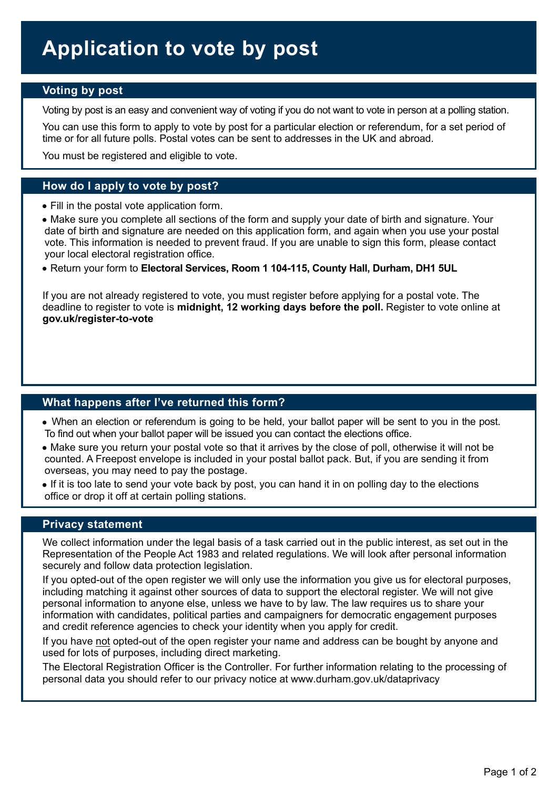#### **Voting by post**

Voting by post is an easy and convenient way of voting if you do not want to vote in person at a polling station.

You can use this form to apply to vote by post for a particular election or referendum, for a set period of time or for all future polls. Postal votes can be sent to addresses in the UK and abroad.

You must be registered and eligible to vote.

### **How do I apply to vote by post?**

Fill in the postal vote application form.

 Make sure you complete all sections of the form and supply your date of birth and signature. Your date of birth and signature are needed on this application form, and again when you use your postal vote. This information is needed to prevent fraud. If you are unable to sign this form, please contact your local electoral registration office.

Return your form to **Electoral Services, Room 1 104-115, County Hall, Durham, DH1 5UL**

If you are not already registered to vote, you must register before applying for a postal vote. The deadline to register to vote is **midnight, 12 working days before the poll.** Register to vote online at **[gov.uk/register-to-vote](https://www.gov.uk/register-to-vote)** 

#### **What happens after I've returned this form?**

- When an election or referendum is going to be held, your ballot paper will be sent to you in the post. To find out when your ballot paper will be issued you can contact the elections office.
- Make sure you return your postal vote so that it arrives by the close of poll, otherwise it will not be counted. A Freepost envelope is included in your postal ballot pack. But, if you are sending it from overseas, you may need to pay the postage.
- If it is too late to send your vote back by post, you can hand it in on polling day to the elections office or drop it off at certain polling stations.

#### **Privacy statement**

We collect information under the legal basis of a task carried out in the public interest, as set out in the Representation of the People Act 1983 and related regulations. We will look after personal information securely and follow data protection legislation.

If you opted-out of the open register we will only use the information you give us for electoral purposes, including matching it against other sources of data to support the electoral register. We will not give personal information to anyone else, unless we have to by law. The law requires us to share your information with candidates, political parties and campaigners for democratic engagement purposes and credit reference agencies to check your identity when you apply for credit.

If you have not opted-out of the open register your name and address can be bought by anyone and used for lots of purposes, including direct marketing.

The Electoral Registration Officer is the Controller. For further information relating to the processing of personal data you should refer to our privacy notice at www.durham.gov.uk/dataprivacy